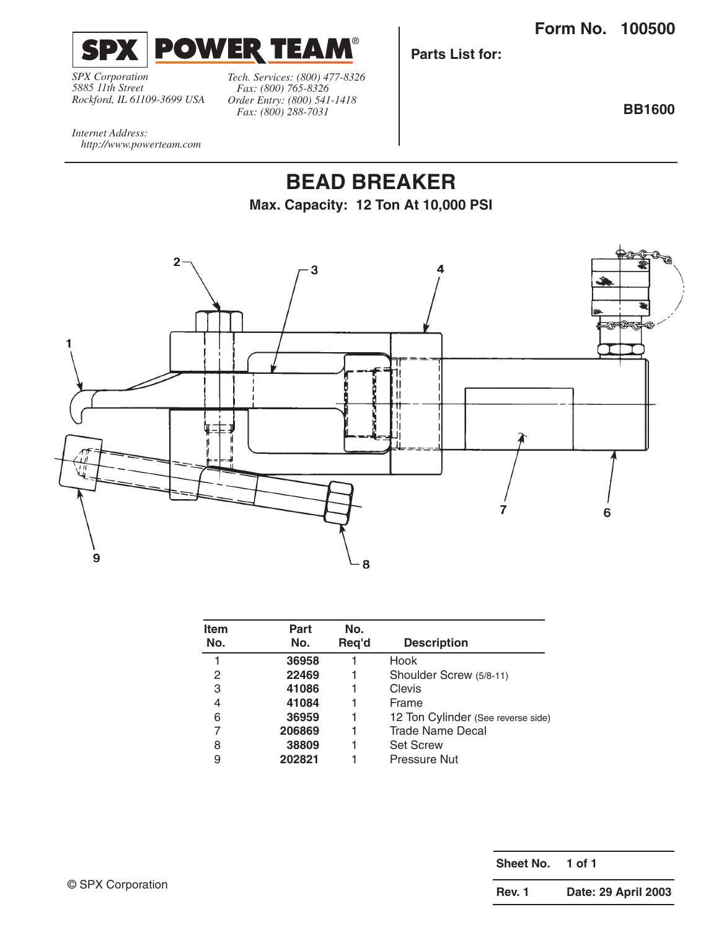**Form No. 100500**



*SPX Corporation 5885 11th Street Rockford, IL 61109-3699 USA* *Tech. Services: (800) 477-8326 Fax: (800) 765-8326 Order Entry: (800) 541-1418 Fax: (800) 288-7031*

**Parts List for:**

**BB1600**

*Internet Address: http://www.powerteam.com*

## **BEAD BREAKER Max. Capacity: 12 Ton At 10,000 PSI**



| Item<br>No. | Part<br>No. | No.<br>Req'd | <b>Description</b>                 |
|-------------|-------------|--------------|------------------------------------|
| 1           | 36958       |              | Hook                               |
| 2           | 22469       | 1            | Shoulder Screw (5/8-11)            |
| 3           | 41086       |              | Clevis                             |
| 4           | 41084       |              | Frame                              |
| 6           | 36959       | 1            | 12 Ton Cylinder (See reverse side) |
| 7           | 206869      | 1            | <b>Trade Name Decal</b>            |
| 8           | 38809       | 1            | <b>Set Screw</b>                   |
| 9           | 202821      |              | Pressure Nut                       |